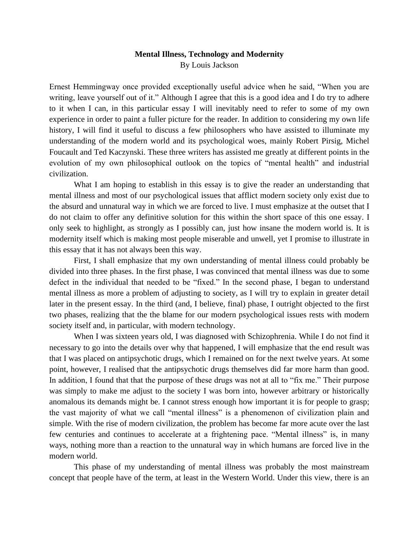## **Mental Illness, Technology and Modernity** By Louis Jackson

Ernest Hemmingway once provided exceptionally useful advice when he said, "When you are writing, leave yourself out of it." Although I agree that this is a good idea and I do try to adhere to it when I can, in this particular essay I will inevitably need to refer to some of my own experience in order to paint a fuller picture for the reader. In addition to considering my own life history, I will find it useful to discuss a few philosophers who have assisted to illuminate my understanding of the modern world and its psychological woes, mainly Robert Pirsig, Michel Foucault and Ted Kaczynski. These three writers has assisted me greatly at different points in the evolution of my own philosophical outlook on the topics of "mental health" and industrial civilization.

What I am hoping to establish in this essay is to give the reader an understanding that mental illness and most of our psychological issues that afflict modern society only exist due to the absurd and unnatural way in which we are forced to live. I must emphasize at the outset that I do not claim to offer any definitive solution for this within the short space of this one essay. I only seek to highlight, as strongly as I possibly can, just how insane the modern world is. It is modernity itself which is making most people miserable and unwell, yet I promise to illustrate in this essay that it has not always been this way.

First, I shall emphasize that my own understanding of mental illness could probably be divided into three phases. In the first phase, I was convinced that mental illness was due to some defect in the individual that needed to be "fixed." In the second phase, I began to understand mental illness as more a problem of adjusting to society, as I will try to explain in greater detail later in the present essay. In the third (and, I believe, final) phase, I outright objected to the first two phases, realizing that the the blame for our modern psychological issues rests with modern society itself and, in particular, with modern technology.

When I was sixteen years old, I was diagnosed with Schizophrenia. While I do not find it necessary to go into the details over why that happened, I will emphasize that the end result was that I was placed on antipsychotic drugs, which I remained on for the next twelve years. At some point, however, I realised that the antipsychotic drugs themselves did far more harm than good. In addition, I found that that the purpose of these drugs was not at all to "fix me." Their purpose was simply to make me adjust to the society I was born into, however arbitrary or historically anomalous its demands might be. I cannot stress enough how important it is for people to grasp; the vast majority of what we call "mental illness" is a phenomenon of civilization plain and simple. With the rise of modern civilization, the problem has become far more acute over the last few centuries and continues to accelerate at a frightening pace. "Mental illness" is, in many ways, nothing more than a reaction to the unnatural way in which humans are forced live in the modern world.

This phase of my understanding of mental illness was probably the most mainstream concept that people have of the term, at least in the Western World. Under this view, there is an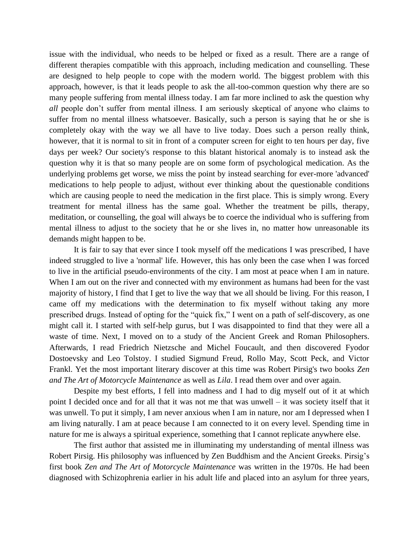issue with the individual, who needs to be helped or fixed as a result. There are a range of different therapies compatible with this approach, including medication and counselling. These are designed to help people to cope with the modern world. The biggest problem with this approach, however, is that it leads people to ask the all-too-common question why there are so many people suffering from mental illness today. I am far more inclined to ask the question why *all* people don't suffer from mental illness. I am seriously skeptical of anyone who claims to suffer from no mental illness whatsoever. Basically, such a person is saying that he or she is completely okay with the way we all have to live today. Does such a person really think, however, that it is normal to sit in front of a computer screen for eight to ten hours per day, five days per week? Our society's response to this blatant historical anomaly is to instead ask the question why it is that so many people are on some form of psychological medication. As the underlying problems get worse, we miss the point by instead searching for ever-more 'advanced' medications to help people to adjust, without ever thinking about the questionable conditions which are causing people to need the medication in the first place. This is simply wrong. Every treatment for mental illness has the same goal. Whether the treatment be pills, therapy, meditation, or counselling, the goal will always be to coerce the individual who is suffering from mental illness to adjust to the society that he or she lives in, no matter how unreasonable its demands might happen to be.

It is fair to say that ever since I took myself off the medications I was prescribed, I have indeed struggled to live a 'normal' life. However, this has only been the case when I was forced to live in the artificial pseudo-environments of the city. I am most at peace when I am in nature. When I am out on the river and connected with my environment as humans had been for the vast majority of history, I find that I get to live the way that we all should be living. For this reason, I came off my medications with the determination to fix myself without taking any more prescribed drugs. Instead of opting for the "quick fix," I went on a path of self-discovery, as one might call it. I started with self-help gurus, but I was disappointed to find that they were all a waste of time. Next, I moved on to a study of the Ancient Greek and Roman Philosophers. Afterwards, I read Friedrich Nietzsche and Michel Foucault, and then discovered Fyodor Dostoevsky and Leo Tolstoy. I studied Sigmund Freud, Rollo May, Scott Peck, and Victor Frankl. Yet the most important literary discover at this time was Robert Pirsig's two books *Zen and The Art of Motorcycle Maintenance* as well as *Lila*. I read them over and over again.

Despite my best efforts, I fell into madness and I had to dig myself out of it at which point I decided once and for all that it was not me that was unwell – it was society itself that it was unwell. To put it simply, I am never anxious when I am in nature, nor am I depressed when I am living naturally. I am at peace because I am connected to it on every level. Spending time in nature for me is always a spiritual experience, something that I cannot replicate anywhere else.

The first author that assisted me in illuminating my understanding of mental illness was Robert Pirsig. His philosophy was influenced by Zen Buddhism and the Ancient Greeks. Pirsig's first book *Zen and The Art of Motorcycle Maintenance* was written in the 1970s. He had been diagnosed with Schizophrenia earlier in his adult life and placed into an asylum for three years,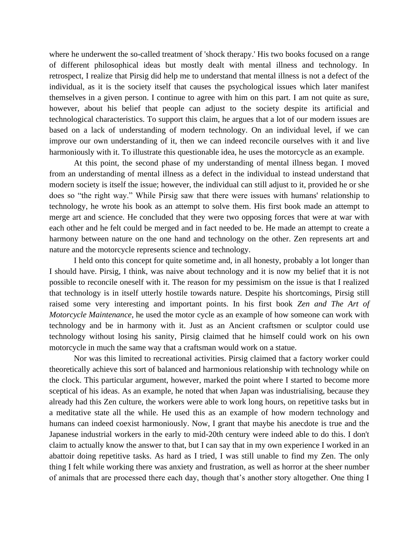where he underwent the so-called treatment of 'shock therapy.' His two books focused on a range of different philosophical ideas but mostly dealt with mental illness and technology. In retrospect, I realize that Pirsig did help me to understand that mental illness is not a defect of the individual, as it is the society itself that causes the psychological issues which later manifest themselves in a given person. I continue to agree with him on this part. I am not quite as sure, however, about his belief that people can adjust to the society despite its artificial and technological characteristics. To support this claim, he argues that a lot of our modern issues are based on a lack of understanding of modern technology. On an individual level, if we can improve our own understanding of it, then we can indeed reconcile ourselves with it and live harmoniously with it. To illustrate this questionable idea, he uses the motorcycle as an example.

At this point, the second phase of my understanding of mental illness began. I moved from an understanding of mental illness as a defect in the individual to instead understand that modern society is itself the issue; however, the individual can still adjust to it, provided he or she does so "the right way." While Pirsig saw that there were issues with humans' relationship to technology, he wrote his book as an attempt to solve them. His first book made an attempt to merge art and science. He concluded that they were two opposing forces that were at war with each other and he felt could be merged and in fact needed to be. He made an attempt to create a harmony between nature on the one hand and technology on the other. Zen represents art and nature and the motorcycle represents science and technology.

I held onto this concept for quite sometime and, in all honesty, probably a lot longer than I should have. Pirsig, I think, was naive about technology and it is now my belief that it is not possible to reconcile oneself with it. The reason for my pessimism on the issue is that I realized that technology is in itself utterly hostile towards nature. Despite his shortcomings, Pirsig still raised some very interesting and important points. In his first book *Zen and The Art of Motorcycle Maintenance*, he used the motor cycle as an example of how someone can work with technology and be in harmony with it. Just as an Ancient craftsmen or sculptor could use technology without losing his sanity, Pirsig claimed that he himself could work on his own motorcycle in much the same way that a craftsman would work on a statue.

Nor was this limited to recreational activities. Pirsig claimed that a factory worker could theoretically achieve this sort of balanced and harmonious relationship with technology while on the clock. This particular argument, however, marked the point where I started to become more sceptical of his ideas. As an example, he noted that when Japan was industrialising, because they already had this Zen culture, the workers were able to work long hours, on repetitive tasks but in a meditative state all the while. He used this as an example of how modern technology and humans can indeed coexist harmoniously. Now, I grant that maybe his anecdote is true and the Japanese industrial workers in the early to mid-20th century were indeed able to do this. I don't claim to actually know the answer to that, but I can say that in my own experience I worked in an abattoir doing repetitive tasks. As hard as I tried, I was still unable to find my Zen. The only thing I felt while working there was anxiety and frustration, as well as horror at the sheer number of animals that are processed there each day, though that's another story altogether. One thing I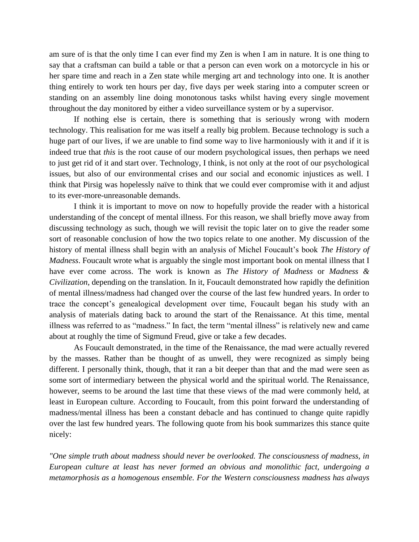am sure of is that the only time I can ever find my Zen is when I am in nature. It is one thing to say that a craftsman can build a table or that a person can even work on a motorcycle in his or her spare time and reach in a Zen state while merging art and technology into one. It is another thing entirely to work ten hours per day, five days per week staring into a computer screen or standing on an assembly line doing monotonous tasks whilst having every single movement throughout the day monitored by either a video surveillance system or by a supervisor.

If nothing else is certain, there is something that is seriously wrong with modern technology. This realisation for me was itself a really big problem. Because technology is such a huge part of our lives, if we are unable to find some way to live harmoniously with it and if it is indeed true that *this* is the root cause of our modern psychological issues, then perhaps we need to just get rid of it and start over. Technology, I think, is not only at the root of our psychological issues, but also of our environmental crises and our social and economic injustices as well. I think that Pirsig was hopelessly naïve to think that we could ever compromise with it and adjust to its ever-more-unreasonable demands.

I think it is important to move on now to hopefully provide the reader with a historical understanding of the concept of mental illness. For this reason, we shall briefly move away from discussing technology as such, though we will revisit the topic later on to give the reader some sort of reasonable conclusion of how the two topics relate to one another. My discussion of the history of mental illness shall begin with an analysis of Michel Foucault's book *The History of Madness*. Foucault wrote what is arguably the single most important book on mental illness that I have ever come across. The work is known as *The History of Madness* or *Madness & Civilization*, depending on the translation. In it, Foucault demonstrated how rapidly the definition of mental illness/madness had changed over the course of the last few hundred years. In order to trace the concept's genealogical development over time, Foucault began his study with an analysis of materials dating back to around the start of the Renaissance. At this time, mental illness was referred to as "madness." In fact, the term "mental illness" is relatively new and came about at roughly the time of Sigmund Freud, give or take a few decades.

As Foucault demonstrated, in the time of the Renaissance, the mad were actually revered by the masses. Rather than be thought of as unwell, they were recognized as simply being different. I personally think, though, that it ran a bit deeper than that and the mad were seen as some sort of intermediary between the physical world and the spiritual world. The Renaissance, however, seems to be around the last time that these views of the mad were commonly held, at least in European culture. According to Foucault, from this point forward the understanding of madness/mental illness has been a constant debacle and has continued to change quite rapidly over the last few hundred years. The following quote from his book summarizes this stance quite nicely:

*"One simple truth about madness should never be overlooked. The consciousness of madness, in European culture at least has never formed an obvious and monolithic fact, undergoing a metamorphosis as a homogenous ensemble. For the Western consciousness madness has always*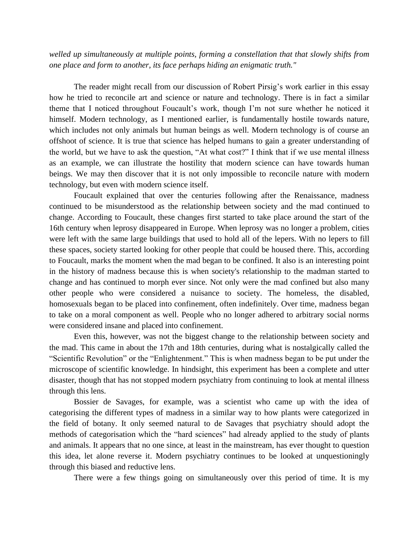*welled up simultaneously at multiple points, forming a constellation that that slowly shifts from one place and form to another, its face perhaps hiding an enigmatic truth."*

The reader might recall from our discussion of Robert Pirsig's work earlier in this essay how he tried to reconcile art and science or nature and technology. There is in fact a similar theme that I noticed throughout Foucault's work, though I'm not sure whether he noticed it himself. Modern technology, as I mentioned earlier, is fundamentally hostile towards nature, which includes not only animals but human beings as well. Modern technology is of course an offshoot of science. It is true that science has helped humans to gain a greater understanding of the world, but we have to ask the question, "At what cost?" I think that if we use mental illness as an example, we can illustrate the hostility that modern science can have towards human beings. We may then discover that it is not only impossible to reconcile nature with modern technology, but even with modern science itself.

Foucault explained that over the centuries following after the Renaissance, madness continued to be misunderstood as the relationship between society and the mad continued to change. According to Foucault, these changes first started to take place around the start of the 16th century when leprosy disappeared in Europe. When leprosy was no longer a problem, cities were left with the same large buildings that used to hold all of the lepers. With no lepers to fill these spaces, society started looking for other people that could be housed there. This, according to Foucault, marks the moment when the mad began to be confined. It also is an interesting point in the history of madness because this is when society's relationship to the madman started to change and has continued to morph ever since. Not only were the mad confined but also many other people who were considered a nuisance to society. The homeless, the disabled, homosexuals began to be placed into confinement, often indefinitely. Over time, madness began to take on a moral component as well. People who no longer adhered to arbitrary social norms were considered insane and placed into confinement.

Even this, however, was not the biggest change to the relationship between society and the mad. This came in about the 17th and 18th centuries, during what is nostalgically called the "Scientific Revolution" or the "Enlightenment." This is when madness began to be put under the microscope of scientific knowledge. In hindsight, this experiment has been a complete and utter disaster, though that has not stopped modern psychiatry from continuing to look at mental illness through this lens.

Bossier de Savages, for example, was a scientist who came up with the idea of categorising the different types of madness in a similar way to how plants were categorized in the field of botany. It only seemed natural to de Savages that psychiatry should adopt the methods of categorisation which the "hard sciences" had already applied to the study of plants and animals. It appears that no one since, at least in the mainstream, has ever thought to question this idea, let alone reverse it. Modern psychiatry continues to be looked at unquestioningly through this biased and reductive lens.

There were a few things going on simultaneously over this period of time. It is my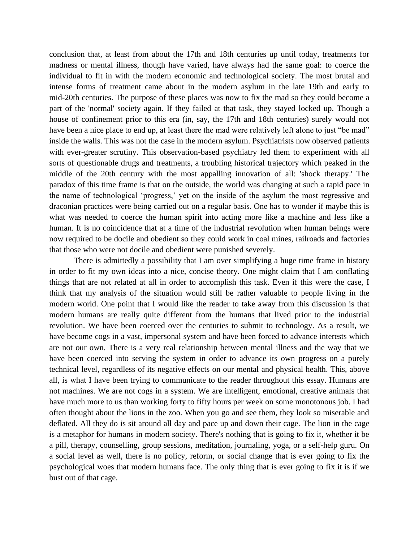conclusion that, at least from about the 17th and 18th centuries up until today, treatments for madness or mental illness, though have varied, have always had the same goal: to coerce the individual to fit in with the modern economic and technological society. The most brutal and intense forms of treatment came about in the modern asylum in the late 19th and early to mid-20th centuries. The purpose of these places was now to fix the mad so they could become a part of the 'normal' society again. If they failed at that task, they stayed locked up. Though a house of confinement prior to this era (in, say, the 17th and 18th centuries) surely would not have been a nice place to end up, at least there the mad were relatively left alone to just "be mad" inside the walls. This was not the case in the modern asylum. Psychiatrists now observed patients with ever-greater scrutiny. This observation-based psychiatry led them to experiment with all sorts of questionable drugs and treatments, a troubling historical trajectory which peaked in the middle of the 20th century with the most appalling innovation of all: 'shock therapy.' The paradox of this time frame is that on the outside, the world was changing at such a rapid pace in the name of technological 'progress,' yet on the inside of the asylum the most regressive and draconian practices were being carried out on a regular basis. One has to wonder if maybe this is what was needed to coerce the human spirit into acting more like a machine and less like a human. It is no coincidence that at a time of the industrial revolution when human beings were now required to be docile and obedient so they could work in coal mines, railroads and factories that those who were not docile and obedient were punished severely.

There is admittedly a possibility that I am over simplifying a huge time frame in history in order to fit my own ideas into a nice, concise theory. One might claim that I am conflating things that are not related at all in order to accomplish this task. Even if this were the case, I think that my analysis of the situation would still be rather valuable to people living in the modern world. One point that I would like the reader to take away from this discussion is that modern humans are really quite different from the humans that lived prior to the industrial revolution. We have been coerced over the centuries to submit to technology. As a result, we have become cogs in a vast, impersonal system and have been forced to advance interests which are not our own. There is a very real relationship between mental illness and the way that we have been coerced into serving the system in order to advance its own progress on a purely technical level, regardless of its negative effects on our mental and physical health. This, above all, is what I have been trying to communicate to the reader throughout this essay. Humans are not machines. We are not cogs in a system. We are intelligent, emotional, creative animals that have much more to us than working forty to fifty hours per week on some monotonous job. I had often thought about the lions in the zoo. When you go and see them, they look so miserable and deflated. All they do is sit around all day and pace up and down their cage. The lion in the cage is a metaphor for humans in modern society. There's nothing that is going to fix it, whether it be a pill, therapy, counselling, group sessions, meditation, journaling, yoga, or a self-help guru. On a social level as well, there is no policy, reform, or social change that is ever going to fix the psychological woes that modern humans face. The only thing that is ever going to fix it is if we bust out of that cage.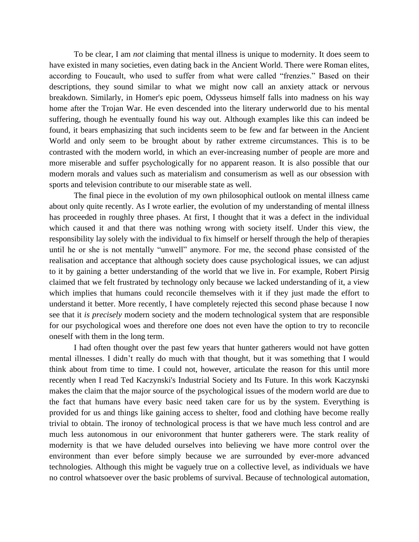To be clear, I am *not* claiming that mental illness is unique to modernity. It does seem to have existed in many societies, even dating back in the Ancient World. There were Roman elites, according to Foucault, who used to suffer from what were called "frenzies." Based on their descriptions, they sound similar to what we might now call an anxiety attack or nervous breakdown. Similarly, in Homer's epic poem, Odysseus himself falls into madness on his way home after the Trojan War. He even descended into the literary underworld due to his mental suffering, though he eventually found his way out. Although examples like this can indeed be found, it bears emphasizing that such incidents seem to be few and far between in the Ancient World and only seem to be brought about by rather extreme circumstances. This is to be contrasted with the modern world, in which an ever-increasing number of people are more and more miserable and suffer psychologically for no apparent reason. It is also possible that our modern morals and values such as materialism and consumerism as well as our obsession with sports and television contribute to our miserable state as well.

The final piece in the evolution of my own philosophical outlook on mental illness came about only quite recently. As I wrote earlier, the evolution of my understanding of mental illness has proceeded in roughly three phases. At first, I thought that it was a defect in the individual which caused it and that there was nothing wrong with society itself. Under this view, the responsibility lay solely with the individual to fix himself or herself through the help of therapies until he or she is not mentally "unwell" anymore. For me, the second phase consisted of the realisation and acceptance that although society does cause psychological issues, we can adjust to it by gaining a better understanding of the world that we live in. For example, Robert Pirsig claimed that we felt frustrated by technology only because we lacked understanding of it, a view which implies that humans could reconcile themselves with it if they just made the effort to understand it better. More recently, I have completely rejected this second phase because I now see that it *is precisely* modern society and the modern technological system that are responsible for our psychological woes and therefore one does not even have the option to try to reconcile oneself with them in the long term.

I had often thought over the past few years that hunter gatherers would not have gotten mental illnesses. I didn't really do much with that thought, but it was something that I would think about from time to time. I could not, however, articulate the reason for this until more recently when I read Ted Kaczynski's Industrial Society and Its Future. In this work Kaczynski makes the claim that the major source of the psychological issues of the modern world are due to the fact that humans have every basic need taken care for us by the system. Everything is provided for us and things like gaining access to shelter, food and clothing have become really trivial to obtain. The ironoy of technological process is that we have much less control and are much less autonomous in our enivoronment that hunter gatherers were. The stark reality of modernity is that we have deluded ourselves into believing we have more control over the environment than ever before simply because we are surrounded by ever-more advanced technologies. Although this might be vaguely true on a collective level, as individuals we have no control whatsoever over the basic problems of survival. Because of technological automation,